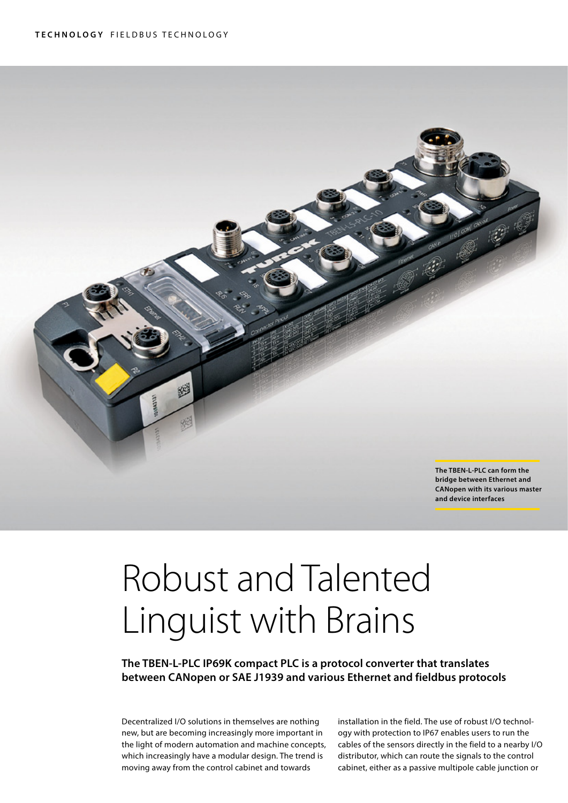

# Robust and Talented Linguist with Brains

**The TBEN-L-PLC IP69K compact PLC is a protocol converter that translates between CANopen or SAE J1939 and various Ethernet and fieldbus protocols** 

Decentralized I/O solutions in themselves are nothing new, but are becoming increasingly more important in the light of modern automation and machine concepts, which increasingly have a modular design. The trend is moving away from the control cabinet and towards

installation in the field. The use of robust I/O technology with protection to IP67 enables users to run the cables of the sensors directly in the field to a nearby I/O distributor, which can route the signals to the control cabinet, either as a passive multipole cable junction or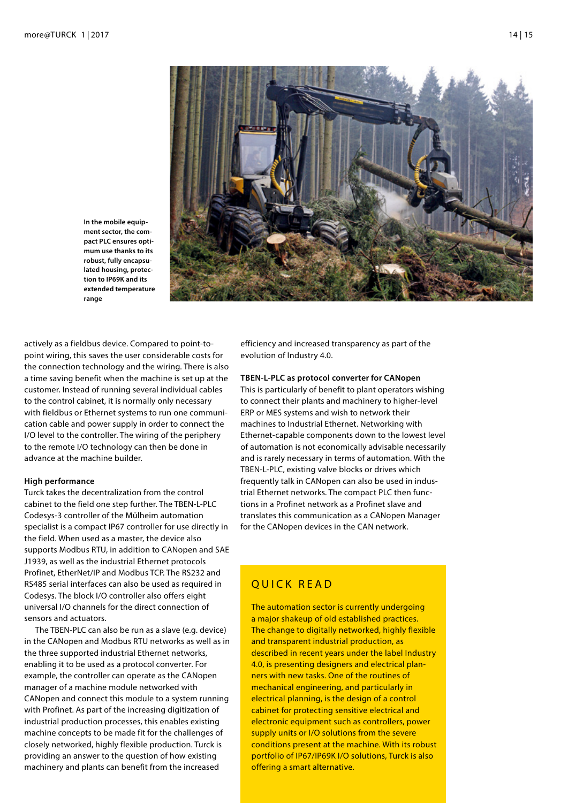

**In the mobile equipment sector, the compact PLC ensures optimum use thanks to its robust, fully encapsulated housing, protection to IP69K and its extended temperature range**

actively as a fieldbus device. Compared to point-topoint wiring, this saves the user considerable costs for the connection technology and the wiring. There is also a time saving benefit when the machine is set up at the customer. Instead of running several individual cables to the control cabinet, it is normally only necessary with fieldbus or Ethernet systems to run one communication cable and power supply in order to connect the I/O level to the controller. The wiring of the periphery to the remote I/O technology can then be done in advance at the machine builder.

#### **High performance**

Turck takes the decentralization from the control cabinet to the field one step further. The TBEN-L-PLC Codesys-3 controller of the Mülheim automation specialist is a compact IP67 controller for use directly in the field. When used as a master, the device also supports Modbus RTU, in addition to CANopen and SAE J1939, as well as the industrial Ethernet protocols Profinet, EtherNet/IP and Modbus TCP. The RS232 and RS485 serial interfaces can also be used as required in Codesys. The block I/O controller also offers eight universal I/O channels for the direct connection of sensors and actuators.

The TBEN-PLC can also be run as a slave (e.g. device) in the CANopen and Modbus RTU networks as well as in the three supported industrial Ethernet networks, enabling it to be used as a protocol converter. For example, the controller can operate as the CANopen manager of a machine module networked with CANopen and connect this module to a system running with Profinet. As part of the increasing digitization of industrial production processes, this enables existing machine concepts to be made fit for the challenges of closely networked, highly flexible production. Turck is providing an answer to the question of how existing machinery and plants can benefit from the increased

efficiency and increased transparency as part of the evolution of Industry 4.0.

### **TBEN-L-PLC as protocol converter for CANopen**

This is particularly of benefit to plant operators wishing to connect their plants and machinery to higher-level ERP or MES systems and wish to network their machines to Industrial Ethernet. Networking with Ethernet-capable components down to the lowest level of automation is not economically advisable necessarily and is rarely necessary in terms of automation. With the TBEN-L-PLC, existing valve blocks or drives which frequently talk in CANopen can also be used in industrial Ethernet networks. The compact PLC then functions in a Profinet network as a Profinet slave and translates this communication as a CANopen Manager for the CANopen devices in the CAN network.

## QUICK READ

The automation sector is currently undergoing a major shakeup of old established practices. The change to digitally networked, highly flexible and transparent industrial production, as described in recent years under the label Industry 4.0, is presenting designers and electrical planners with new tasks. One of the routines of mechanical engineering, and particularly in electrical planning, is the design of a control cabinet for protecting sensitive electrical and electronic equipment such as controllers, power supply units or I/O solutions from the severe conditions present at the machine. With its robust portfolio of IP67/IP69K I/O solutions, Turck is also offering a smart alternative.